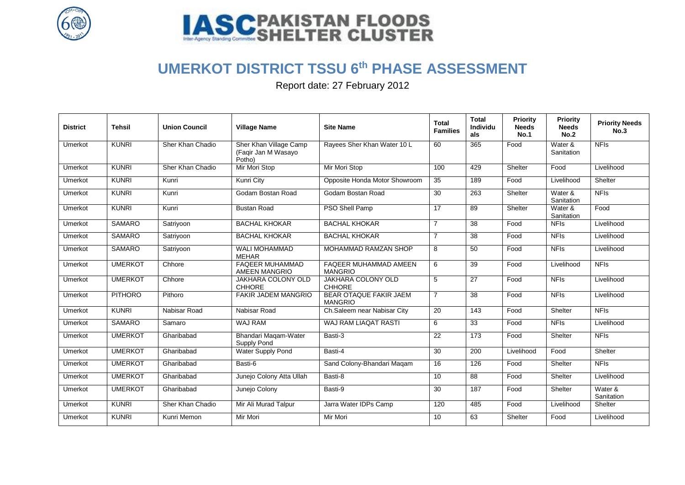



# **UMERKOT DISTRICT TSSU 6th PHASE ASSESSMENT**

Report date: 27 February 2012

| <b>District</b> | <b>Tehsil</b>  | <b>Union Council</b> | <b>Village Name</b>                                     | <b>Site Name</b>                                | <b>Total</b><br><b>Families</b> | <b>Total</b><br>Individu<br>als | Priority<br><b>Needs</b><br><b>No.1</b> | Priority<br><b>Needs</b><br>No.2 | <b>Priority Needs</b><br>No.3 |
|-----------------|----------------|----------------------|---------------------------------------------------------|-------------------------------------------------|---------------------------------|---------------------------------|-----------------------------------------|----------------------------------|-------------------------------|
| Umerkot         | <b>KUNRI</b>   | Sher Khan Chadio     | Sher Khan Village Camp<br>(Faqir Jan M Wasayo<br>Potho) | Rayees Sher Khan Water 10 L                     | 60                              | 365                             | Food                                    | Water &<br>Sanitation            | <b>NFIs</b>                   |
| Umerkot         | <b>KUNRI</b>   | Sher Khan Chadio     | Mir Mori Stop                                           | Mir Mori Stop                                   | 100                             | 429                             | Shelter                                 | Food                             | Livelihood                    |
| Umerkot         | <b>KUNRI</b>   | Kunri                | Kunri City                                              | Opposite Honda Motor Showroom                   | 35                              | 189                             | Food                                    | Livelihood                       | Shelter                       |
| Umerkot         | <b>KUNRI</b>   | Kunri                | Godam Bostan Road                                       | Godam Bostan Road                               | 30                              | 263                             | Shelter                                 | Water &<br>Sanitation            | <b>NFIs</b>                   |
| Umerkot         | <b>KUNRI</b>   | Kunri                | <b>Bustan Road</b>                                      | PSO Shell Pamp                                  | 17                              | 89                              | Shelter                                 | Water &<br>Sanitation            | Food                          |
| Umerkot         | <b>SAMARO</b>  | Satriyoon            | <b>BACHAL KHOKAR</b>                                    | <b>BACHAL KHOKAR</b>                            | $\overline{7}$                  | $\overline{38}$                 | Food                                    | NFI <sub>S</sub>                 | Livelihood                    |
| Umerkot         | <b>SAMARO</b>  | Satriyoon            | <b>BACHAL KHOKAR</b>                                    | <b>BACHAL KHOKAR</b>                            | $\overline{7}$                  | 38                              | Food                                    | <b>NFIS</b>                      | Livelihood                    |
| Umerkot         | <b>SAMARO</b>  | Satriyoon            | <b>WALI MOHAMMAD</b><br><b>MEHAR</b>                    | MOHAMMAD RAMZAN SHOP                            | 8                               | $\overline{50}$                 | Food                                    | <b>NFIs</b>                      | Livelihood                    |
| Umerkot         | <b>UMERKOT</b> | Chhore               | <b>FAQEER MUHAMMAD</b><br>AMEEN MANGRIO                 | <b>FAQEER MUHAMMAD AMEEN</b><br><b>MANGRIO</b>  | 6                               | 39                              | Food                                    | Livelihood                       | <b>NFIs</b>                   |
| Umerkot         | <b>UMERKOT</b> | Chhore               | <b>JAKHARA COLONY OLD</b><br><b>CHHORE</b>              | JAKHARA COLONY OLD<br><b>CHHORE</b>             | 5                               | 27                              | Food                                    | <b>NFIS</b>                      | Livelihood                    |
| Umerkot         | <b>PITHORO</b> | Pithoro              | <b>FAKIR JADEM MANGRIO</b>                              | <b>BEAR OTAQUE FAKIR JAEM</b><br><b>MANGRIO</b> | $\overline{7}$                  | 38                              | Food                                    | <b>NFIs</b>                      | Livelihood                    |
| Umerkot         | <b>KUNRI</b>   | Nabisar Road         | Nabisar Road                                            | Ch.Saleem near Nabisar City                     | 20                              | 143                             | Food                                    | Shelter                          | <b>NFIs</b>                   |
| Umerkot         | <b>SAMARO</b>  | Samaro               | <b>WAJ RAM</b>                                          | WAJ RAM LIAQAT RASTI                            | 6                               | 33                              | Food                                    | <b>NFIs</b>                      | Livelihood                    |
| Umerkot         | <b>UMERKOT</b> | Gharibabad           | Bhandari Maqam-Water<br>Supply Pond                     | Basti-3                                         | 22                              | 173                             | Food                                    | Shelter                          | <b>NFIs</b>                   |
| Umerkot         | <b>UMERKOT</b> | Gharibabad           | Water Supply Pond                                       | Basti-4                                         | 30                              | 200                             | Livelihood                              | Food                             | Shelter                       |
| Umerkot         | <b>UMERKOT</b> | Gharibabad           | Basti-6                                                 | Sand Colony-Bhandari Magam                      | 16                              | 126                             | Food                                    | Shelter                          | <b>NFIS</b>                   |
| Umerkot         | <b>UMERKOT</b> | Gharibabad           | Junejo Colony Atta Ullah                                | Basti-8                                         | 10                              | 88                              | Food                                    | Shelter                          | Livelihood                    |
| Umerkot         | <b>UMERKOT</b> | Gharibabad           | Junejo Colony                                           | Basti-9                                         | 30                              | 187                             | Food                                    | Shelter                          | Water &<br>Sanitation         |
| Umerkot         | <b>KUNRI</b>   | Sher Khan Chadio     | Mir Ali Murad Talpur                                    | Jarra Water IDPs Camp                           | 120                             | 485                             | Food                                    | Livelihood                       | Shelter                       |
| Umerkot         | <b>KUNRI</b>   | Kunri Memon          | Mir Mori                                                | <b>Mir Mori</b>                                 | 10                              | 63                              | Shelter                                 | Food                             | Livelihood                    |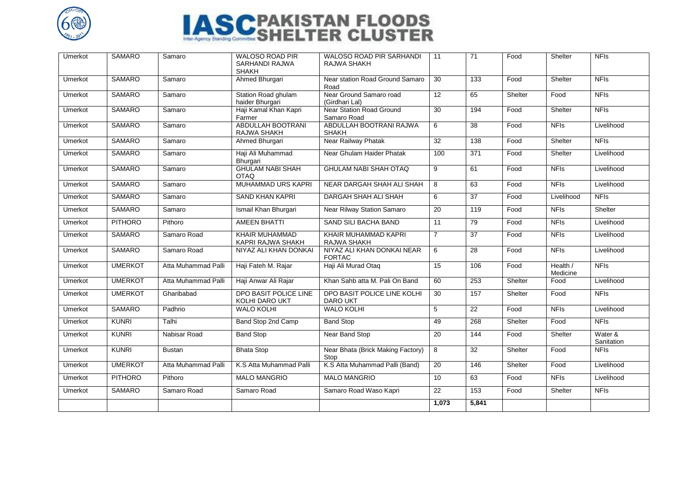

# **IASCPAKISTAN FLOODS**

| Umerkot | <b>SAMARO</b>  | Samaro              | <b>WALOSO ROAD PIR</b><br>SARHANDI RAJWA<br><b>SHAKH</b> | <b>WALOSO ROAD PIR SARHANDI</b><br>RAJWA SHAKH | $\overline{11}$ | $\overline{71}$ | Food    | Shelter              | <b>NFIs</b>           |
|---------|----------------|---------------------|----------------------------------------------------------|------------------------------------------------|-----------------|-----------------|---------|----------------------|-----------------------|
| Umerkot | <b>SAMARO</b>  | Samaro              | Ahmed Bhurgari                                           | Near station Road Ground Samaro<br>Road        | 30              | 133             | Food    | Shelter              | <b>NFIs</b>           |
| Umerkot | <b>SAMARO</b>  | Samaro              | Station Road ghulam<br>haider Bhurgari                   | Near Ground Samaro road<br>(Girdhari Lal)      | 12              | 65              | Shelter | Food                 | <b>NFIs</b>           |
| Umerkot | <b>SAMARO</b>  | Samaro              | Haji Kamal Khan Kapri<br>Farmer                          | <b>Near Station Road Ground</b><br>Samaro Road | 30              | 194             | Food    | Shelter              | <b>NFIs</b>           |
| Umerkot | <b>SAMARO</b>  | Samaro              | <b>ABDULLAH BOOTRANI</b><br>RAJWA SHAKH                  | ABDULLAH BOOTRANI RAJWA<br><b>SHAKH</b>        | 6               | 38              | Food    | <b>NFIs</b>          | Livelihood            |
| Umerkot | <b>SAMARO</b>  | Samaro              | Ahmed Bhurgari                                           | Near Railway Phatak                            | 32              | 138             | Food    | Shelter              | <b>NFIs</b>           |
| Umerkot | <b>SAMARO</b>  | Samaro              | Haji Ali Muhammad<br>Bhurgari                            | Near Ghulam Haider Phatak                      | 100             | 371             | Food    | Shelter              | Livelihood            |
| Umerkot | <b>SAMARO</b>  | Samaro              | <b>GHULAM NABI SHAH</b><br><b>OTAQ</b>                   | <b>GHULAM NABI SHAH OTAQ</b>                   | $\overline{9}$  | 61              | Food    | <b>NFIs</b>          | Livelihood            |
| Umerkot | <b>SAMARO</b>  | Samaro              | <b>MUHAMMAD URS KAPRI</b>                                | NEAR DARGAH SHAH ALI SHAH                      | 8               | 63              | Food    | <b>NFIs</b>          | Livelihood            |
| Umerkot | <b>SAMARO</b>  | Samaro              | <b>SAND KHAN KAPRI</b>                                   | DARGAH SHAH ALI SHAH                           | 6               | 37              | Food    | Livelihood           | <b>NFIs</b>           |
| Umerkot | <b>SAMARO</b>  | Samaro              | Ismail Khan Bhurgari                                     | Near Rilway Station Samaro                     | $\overline{20}$ | 119             | Food    | <b>NFIs</b>          | Shelter               |
| Umerkot | <b>PITHORO</b> | Pithoro             | <b>AMEEN BHATTI</b>                                      | <b>SAND SILI BACHA BAND</b>                    | 11              | 79              | Food    | <b>NFIs</b>          | Livelihood            |
| Umerkot | <b>SAMARO</b>  | Samaro Road         | <b>KHAIR MUHAMMAD</b><br>KAPRI RAJWA SHAKH               | KHAIR MUHAMMAD KAPRI<br>RAJWA SHAKH            | $\overline{7}$  | 37              | Food    | NFIs                 | Livelihood            |
| Umerkot | <b>SAMARO</b>  | Samaro Road         | NIYAZ ALI KHAN DONKAI                                    | NIYAZ ALI KHAN DONKAI NEAR<br><b>FORTAC</b>    | 6               | 28              | Food    | <b>NFIS</b>          | Livelihood            |
| Umerkot | <b>UMERKOT</b> | Atta Muhammad Palli | Haji Fateh M. Rajar                                      | Haji Ali Murad Otaq                            | 15              | 106             | Food    | Health /<br>Medicine | <b>NFIs</b>           |
| Umerkot | <b>UMERKOT</b> | Atta Muhammad Palli | Haji Anwar Ali Rajar                                     | Khan Sahb atta M. Pali On Band                 | 60              | 253             | Shelter | Food                 | Livelihood            |
| Umerkot | <b>UMERKOT</b> | Gharibabad          | DPO BASIT POLICE LINE<br><b>KOLHI DARO UKT</b>           | DPO BASIT POLICE LINE KOLHI<br><b>DARO UKT</b> | 30              | 157             | Shelter | Food                 | <b>NFIs</b>           |
| Umerkot | <b>SAMARO</b>  | Padhrio             | <b>WALO KOLHI</b>                                        | <b>WALO KOLHI</b>                              | 5               | 22              | Food    | <b>NFIs</b>          | Livelihood            |
| Umerkot | <b>KUNRI</b>   | Talhi               | Band Stop 2nd Camp                                       | <b>Band Stop</b>                               | 49              | 268             | Shelter | Food                 | <b>NFIs</b>           |
| Umerkot | <b>KUNRI</b>   | Nabisar Road        | <b>Band Stop</b>                                         | Near Band Stop                                 | $\overline{20}$ | 144             | Food    | Shelter              | Water &<br>Sanitation |
| Umerkot | <b>KUNRI</b>   | <b>Bustan</b>       | <b>Bhata Stop</b>                                        | Near Bhata (Brick Making Factory)<br>Stop      | $\overline{8}$  | 32              | Shelter | Food                 | <b>NFIs</b>           |
| Umerkot | <b>UMERKOT</b> | Atta Muhammad Palli | K.S Atta Muhammad Palli                                  | K.S Atta Muhammad Palli (Band)                 | 20              | 146             | Shelter | Food                 | Livelihood            |
| Umerkot | <b>PITHORO</b> | Pithoro             | <b>MALO MANGRIO</b>                                      | <b>MALO MANGRIO</b>                            | 10              | 63              | Food    | <b>NFIs</b>          | Livelihood            |
| Umerkot | <b>SAMARO</b>  | Samaro Road         | Samaro Road                                              | Samaro Road Waso Kapri                         | $\overline{22}$ | 153             | Food    | Shelter              | <b>NFIs</b>           |
|         |                |                     |                                                          |                                                | 1,073           | 5,841           |         |                      |                       |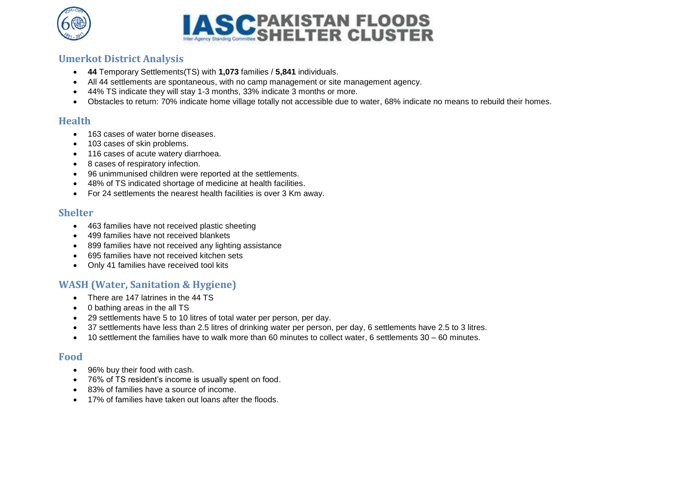



## **Umerkot District Analysis**

- **44** Temporary Settlements(TS) with **1,073** families / **5,841** individuals.
- All 44 settlements are spontaneous, with no camp management or site management agency.
- 44% TS indicate they will stay 1-3 months, 33% indicate 3 months or more.
- Obstacles to return: 70% indicate home village totally not accessible due to water, 68% indicate no means to rebuild their homes.

#### **Health**

- 163 cases of water borne diseases.
- 103 cases of skin problems.
- 116 cases of acute watery diarrhoea.
- 8 cases of respiratory infection.
- 96 unimmunised children were reported at the settlements.
- 48% of TS indicated shortage of medicine at health facilities.
- For 24 settlements the nearest health facilities is over 3 Km away.

## **Shelter**

- 463 families have not received plastic sheeting
- 499 families have not received blankets
- 899 families have not received any lighting assistance
- 695 families have not received kitchen sets
- Only 41 families have received tool kits

# **WASH (Water, Sanitation & Hygiene)**

- There are 147 latrines in the 44 TS
- 0 bathing areas in the all TS
- 29 settlements have 5 to 10 litres of total water per person, per day.
- 37 settlements have less than 2.5 litres of drinking water per person, per day, 6 settlements have 2.5 to 3 litres.
- 10 settlement the families have to walk more than 60 minutes to collect water, 6 settlements 30 60 minutes.

# **Food**

- 96% buy their food with cash.
- 76% of TS resident's income is usually spent on food.
- 83% of families have a source of income.
- 17% of families have taken out loans after the floods.